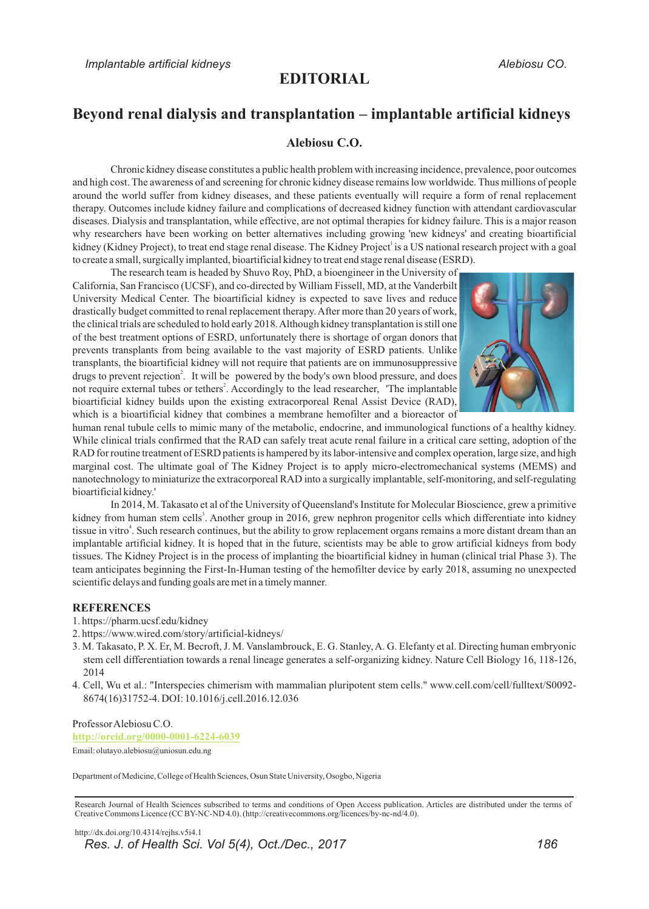# **EDITORIAL**

# **Beyond renal dialysis and transplantation – implantable artificial kidneys**

### **Alebiosu C.O.**

Chronic kidney disease constitutes a public health problem with increasing incidence, prevalence, poor outcomes and high cost. The awareness of and screening for chronic kidney disease remains low worldwide. Thus millions of people around the world suffer from kidney diseases, and these patients eventually will require a form of renal replacement therapy. Outcomes include kidney failure and complications of decreased kidney function with attendant cardiovascular diseases. Dialysis and transplantation, while effective, are not optimal therapies for kidney failure. This is a major reason why researchers have been working on better alternatives including growing 'new kidneys' and creating bioartificial <sup>1</sup>kidney (Kidney Project), to treat end stage renal disease. The Kidney Project is a US national research project with a goal to create a small, surgically implanted, bioartificial kidney to treat end stage renal disease (ESRD).

The research team is headed by Shuvo Roy, PhD, a bioengineer in the University of California, San Francisco (UCSF), and co-directed by William Fissell, MD, at the Vanderbilt University Medical Center. The bioartificial kidney is expected to save lives and reduce drastically budget committed to renal replacement therapy. After more than 20 years of work, the clinical trials are scheduled to hold early 2018. Although kidney transplantation is still one of the best treatment options of ESRD, unfortunately there is shortage of organ donors that prevents transplants from being available to the vast majority of ESRD patients. Unlike transplants, the bioartificial kidney will not require that patients are on immunosuppressive drugs to prevent rejection<sup>2</sup>. It will be powered by the body's own blood pressure, and does not require external tubes or tethers<sup>2</sup>. Accordingly to the lead researcher, 'The implantable bioartificial kidney builds upon the existing extracorporeal Renal Assist Device (RAD), which is a bioartificial kidney that combines a membrane hemofilter and a bioreactor of



human renal tubule cells to mimic many of the metabolic, endocrine, and immunological functions of a healthy kidney. While clinical trials confirmed that the RAD can safely treat acute renal failure in a critical care setting, adoption of the RAD for routine treatment of ESRD patients is hampered by its labor-intensive and complex operation, large size, and high marginal cost. The ultimate goal of The Kidney Project is to apply micro-electromechanical systems (MEMS) and nanotechnology to miniaturize the extracorporeal RAD into a surgically implantable, self-monitoring, and self-regulating bioartificial kidney.'

In 2014, M. Takasato et al of the University of Queensland's Institute for Molecular Bioscience, grew a primitive kidney from human stem cells<sup>3</sup>. Another group in 2016, grew nephron progenitor cells which differentiate into kidney tissue in vitro<sup>4</sup>. Such research continues, but the ability to grow replacement organs remains a more distant dream than an implantable artificial kidney. It is hoped that in the future, scientists may be able to grow artificial kidneys from body tissues. The Kidney Project is in the process of implanting the bioartificial kidney in human (clinical trial Phase 3). The team anticipates beginning the First-In-Human testing of the hemofilter device by early 2018, assuming no unexpected scientific delays and funding goals are met in a timely manner.

### **REFERENCES**

- 1. https://pharm.ucsf.edu/kidney
- 2. https://www.wired.com/story/artificial-kidneys/
- 3. M. Takasato, P. X. Er, M. Becroft, J. M. Vanslambrouck, E. G. Stanley, A. G. Elefanty et al. Directing human embryonic stem cell differentiation towards a renal lineage generates a self-organizing kidney. Nature Cell Biology 16, 118-126, 2014
- 4. Cell, Wu et al.: "Interspecies chimerism with mammalian pluripotent stem cells." www.cell.com/cell/fulltext/S0092- 8674(16)31752-4. DOI: 10.1016/j.cell.2016.12.036

Professor Alebiosu C.O. **http://orcid.org/0000-0001-6224-6039** Email: olutayo.alebiosu@uniosun.edu.ng

Department of Medicine, College of Health Sciences, Osun State University, Osogbo, Nigeria

Research Journal of Health Sciences subscribed to terms and conditions of Open Access publication. Articles are distributed under the terms of Creative Commons Licence (CC BY-NC-ND 4.0). (http://creativecommons.org/licences/by-nc-nd/4.0).